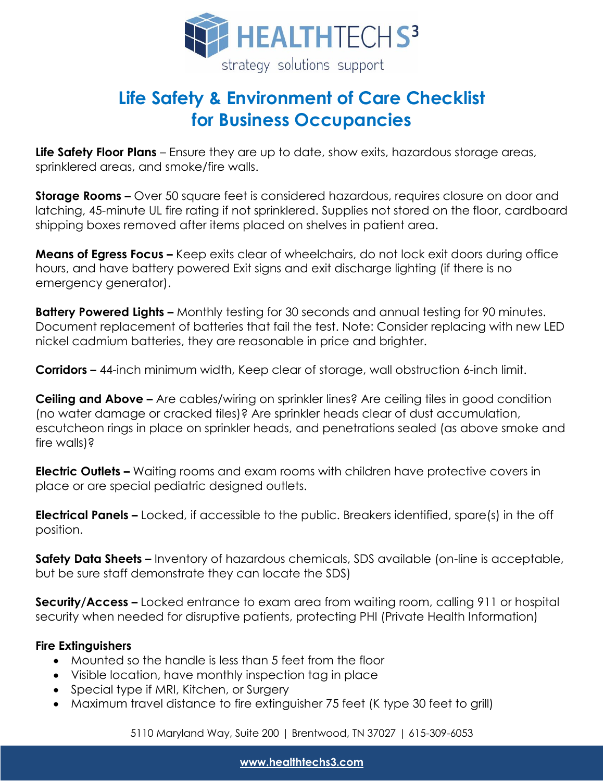

## **Life Safety & Environment of Care Checklist for Business Occupancies**

**Life Safety Floor Plans** – Ensure they are up to date, show exits, hazardous storage areas, sprinklered areas, and smoke/fire walls.

**Storage Rooms –** Over 50 square feet is considered hazardous, requires closure on door and latching, 45-minute UL fire rating if not sprinklered. Supplies not stored on the floor, cardboard shipping boxes removed after items placed on shelves in patient area.

**Means of Egress Focus –** Keep exits clear of wheelchairs, do not lock exit doors during office hours, and have battery powered Exit signs and exit discharge lighting (if there is no emergency generator).

**Battery Powered Lights –** Monthly testing for 30 seconds and annual testing for 90 minutes. Document replacement of batteries that fail the test. Note: Consider replacing with new LED nickel cadmium batteries, they are reasonable in price and brighter.

**Corridors –** 44-inch minimum width, Keep clear of storage, wall obstruction 6-inch limit.

**Ceiling and Above –** Are cables/wiring on sprinkler lines? Are ceiling tiles in good condition (no water damage or cracked tiles)? Are sprinkler heads clear of dust accumulation, escutcheon rings in place on sprinkler heads, and penetrations sealed (as above smoke and fire walls)?

**Electric Outlets –** Waiting rooms and exam rooms with children have protective covers in place or are special pediatric designed outlets.

**Electrical Panels –** Locked, if accessible to the public. Breakers identified, spare(s) in the off position.

**Safety Data Sheets –** Inventory of hazardous chemicals, SDS available (on-line is acceptable, but be sure staff demonstrate they can locate the SDS)

**Security/Access –** Locked entrance to exam area from waiting room, calling 911 or hospital security when needed for disruptive patients, protecting PHI (Private Health Information)

## **Fire Extinguishers**

- Mounted so the handle is less than 5 feet from the floor
- Visible location, have monthly inspection tag in place
- Special type if MRI, Kitchen, or Surgery
- Maximum travel distance to fire extinguisher 75 feet (K type 30 feet to grill)

5110 Maryland Way, Suite 200 | Brentwood, TN 37027 | 615-309-6053